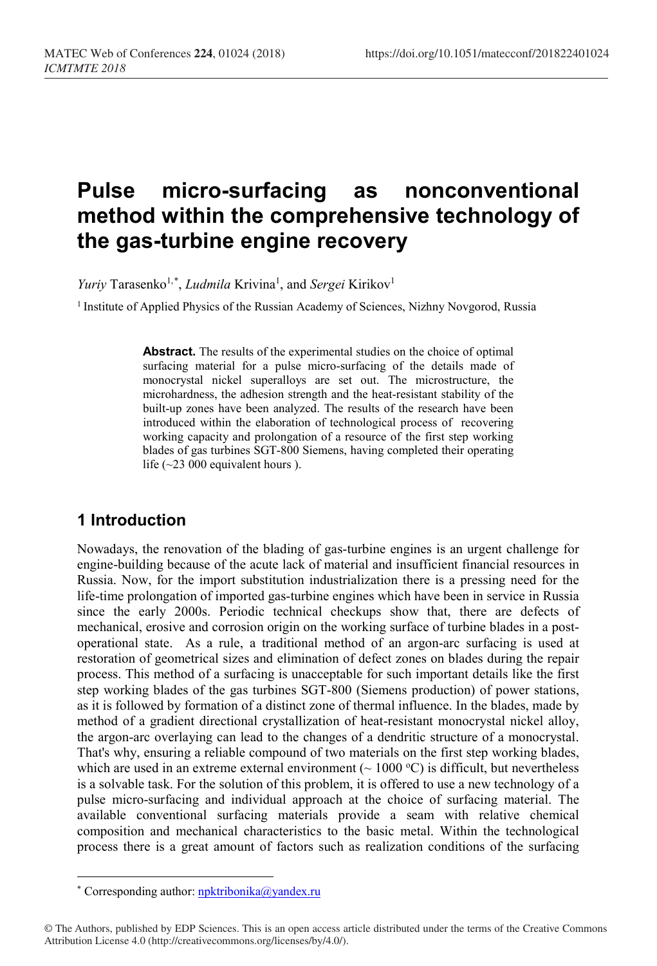# **Pulse micro-surfacing as nonconventional method within the comprehensive technology of the gas-turbine engine recovery**

*Yuriy* Tarasenko<sup>1,[\\*](#page-0-0)</sup>, *Ludmila* Krivina<sup>1</sup>, and *Sergei* Kirikov<sup>1</sup>

<sup>1</sup> Institute of Applied Physics of the Russian Academy of Sciences, Nizhny Novgorod, Russia

**Abstract.** The results of the experimental studies on the choice of optimal surfacing material for a pulse micro-surfacing of the details made of monocrystal nickel superalloys are set out. The microstructure, the microhardness, the adhesion strength and the heat-resistant stability of the built-up zones have been analyzed. The results of the research have been introduced within the elaboration of technological process of recovering working capacity and prolongation of a resource of the first step working blades of gas turbines SGT-800 Siemens, having completed their operating life  $(\sim 23\ 000)$  equivalent hours ).

## **1 Introduction**

Nowadays, the renovation of the blading of gas-turbine engines is an urgent challenge for engine-building because of the acute lack of material and insufficient financial resources in Russia. Now, for the import substitution industrialization there is a pressing need for the life-time prolongation of imported gas-turbine engines which have been in service in Russia since the early 2000s. Periodic technical checkups show that, there are defects of mechanical, erosive and corrosion origin on the working surface of turbine blades in a postoperational state. As a rule, a traditional method of an argon-arc surfacing is used at restoration of geometrical sizes and elimination of defect zones on blades during the repair process. This method of a surfacing is unacceptable for such important details like the first step working blades of the gas turbines SGT-800 (Siemens production) of power stations, as it is followed by formation of a distinct zone of thermal influence. In the blades, made by method of a gradient directional crystallization of heat-resistant monocrystal nickel alloy, the argon-arc overlaying can lead to the changes of a dendritic structure of a monocrystal. That's why, ensuring a reliable compound of two materials on the first step working blades, which are used in an extreme external environment ( $\sim 1000 \degree C$ ) is difficult, but nevertheless is a solvable task. For the solution of this problem, it is offered to use a new technology of a pulse micro-surfacing and individual approach at the choice of surfacing material. The available conventional surfacing materials provide a seam with relative chemical composition and mechanical characteristics to the basic metal. Within the technological process there is a great amount of factors such as realization conditions of the surfacing

l

<sup>\*</sup> Corresponding author: [npktribonika@yandex.ru](mailto:npktribonika@yandex.ru)

<span id="page-0-0"></span><sup>©</sup> The Authors, published by EDP Sciences. This is an open access article distributed under the terms of the Creative Commons Attribution License 4.0 (http://creativecommons.org/licenses/by/4.0/).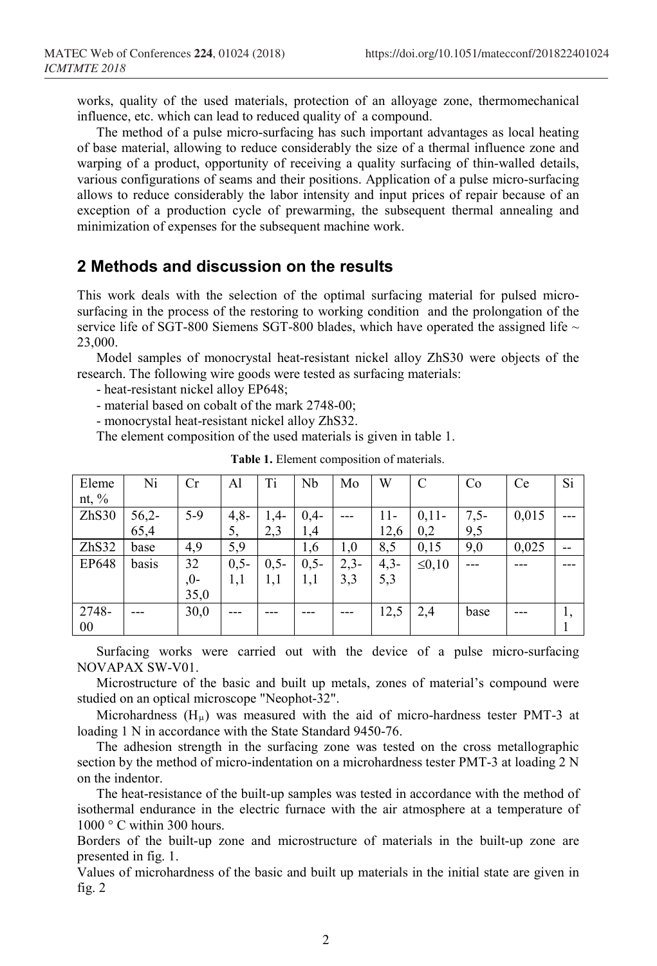works, quality of the used materials, protection of an alloyage zone, thermomechanical influence, etc. which can lead to reduced quality of a compound.

The method of a pulse miсro-surfacing has such important advantages as local heating of base material, allowing to reduce considerably the size of a thermal influence zone and warping of a product, opportunity of receiving a quality surfacing of thin-walled details, various configurations of seams and their positions. Application of a pulse micro-surfacing allows to reduce considerably the labor intensity and input prices of repair because of an exception of a production cycle of prewarming, the subsequent thermal annealing and minimization of expenses for the subsequent machine work.

#### **2 Methods and discussion on the results**

This work deals with the selection of the optimal surfacing material for pulsed microsurfacing in the process of the [restoring to working condition](https://www.multitran.ru/c/m.exe?t=3141182_1_2&ifp=1&s1=restoring%20to%20working%20condition) and the prolongation of the service life of SGT-800 Siemens SGT-800 blades, which have operated the assigned life  $\sim$ 23,000.

Model samples of monocrystal heat-resistant nickel alloy ZhS30 were objects of the research. The following wire goods were tested as surfacing materials:

- heat-resistant nickel alloy EP648;

- material based on cobalt of the mark 2748-00;

- monocrystal heat-resistant nickel alloy ZhS32.

The element composition of the used materials is given in table 1.

| Eleme    | Ni      | Cr    | Al     | Ti     | Nb     | Mo     | W      | $\mathbf C$  | Co     | Ce    | Si |
|----------|---------|-------|--------|--------|--------|--------|--------|--------------|--------|-------|----|
| nt, $\%$ |         |       |        |        |        |        |        |              |        |       |    |
| ZhS30    | $56,2-$ | $5-9$ | $4,8-$ | $1,4-$ | $0,4-$ |        | 11-    | $0,11-$      | $7,5-$ | 0,015 |    |
|          | 65,4    |       | 5,     | 2,3    | 1,4    |        | 12,6   | 0,2          | 9,5    |       |    |
| ZhS32    | base    | 4,9   | 5,9    |        | 1,6    | 1,0    | 8,5    | 0,15         | 9,0    | 0,025 | -- |
| EP648    | basis   | 32    | $0,5-$ | $0,5-$ | $0,5-$ | $2,3-$ | $4,3-$ | $\leq 0, 10$ |        |       |    |
|          |         | $,0-$ | 1,1    | 1,1    | 1,1    | 3,3    | 5,3    |              |        |       |    |
|          |         | 35,0  |        |        |        |        |        |              |        |       |    |
| 2748-    |         | 30,0  |        |        |        |        | 12,5   | 2,4          | base   |       |    |
| 00       |         |       |        |        |        |        |        |              |        |       |    |

**Table 1.** Element composition of materials.

Surfacing works were carried out with the device of a pulse micro-surfacing NOVAPAX SW-V01.

Microstructure of the basic and built up metals, zones of material's compound were studied on an optical microscope "Neophot-32".

Microhardness  $(H_u)$  was measured with the aid of micro-hardness tester PMT-3 at loading 1 N in accordance with the State Standard 9450-76.

The adhesion strength in the surfacing zone was tested on the cross metallographic section by the method of micro-indentation on a microhardness tester PMT-3 at loading 2 N on the indentor.

The heat-resistance of the built-up samples was tested in accordance with the method of isothermal endurance in the electric furnace with the air atmosphere at a temperature of  $1000 \degree$  C within 300 hours.

Borders of the built-up zone and microstructure of materials in the built-up zone are presented in fig. 1.

Values of microhardness of the basic and built up materials in the initial state are given in fig. 2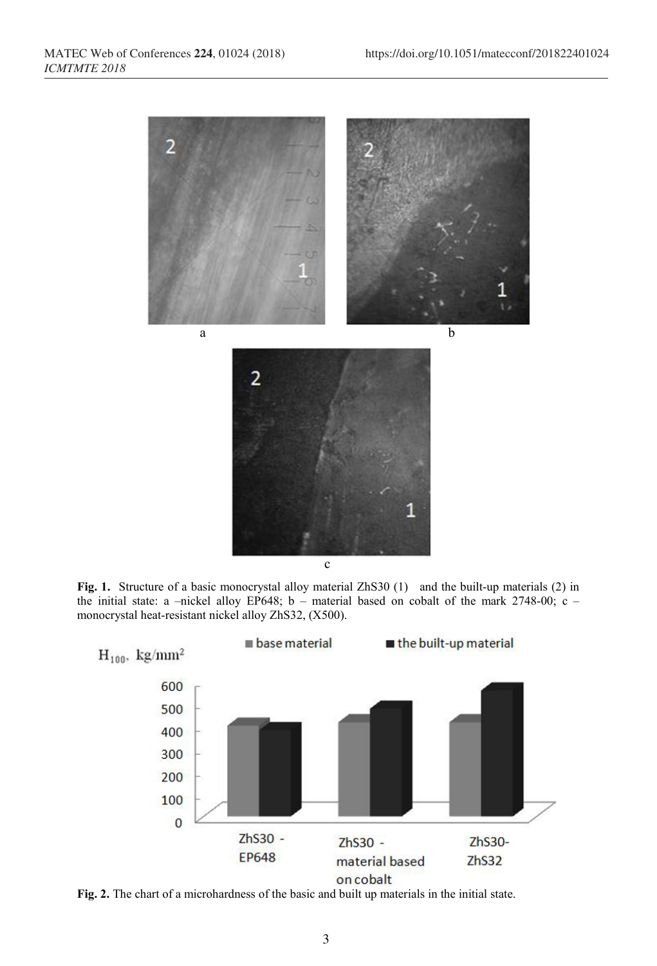

**Fig. 1.** Structure of a basic monocrystal alloy material ZhS30 (1) and the built-up materials (2) in the initial state: a –nickel alloy EP648; b – material based on cobalt of the mark 2748-00; c – monocrystal heat-resistant nickel alloy ZhS32, (Х500).



**Fig. 2.** The chart of a microhardness of the basic and built up materials in the initial state.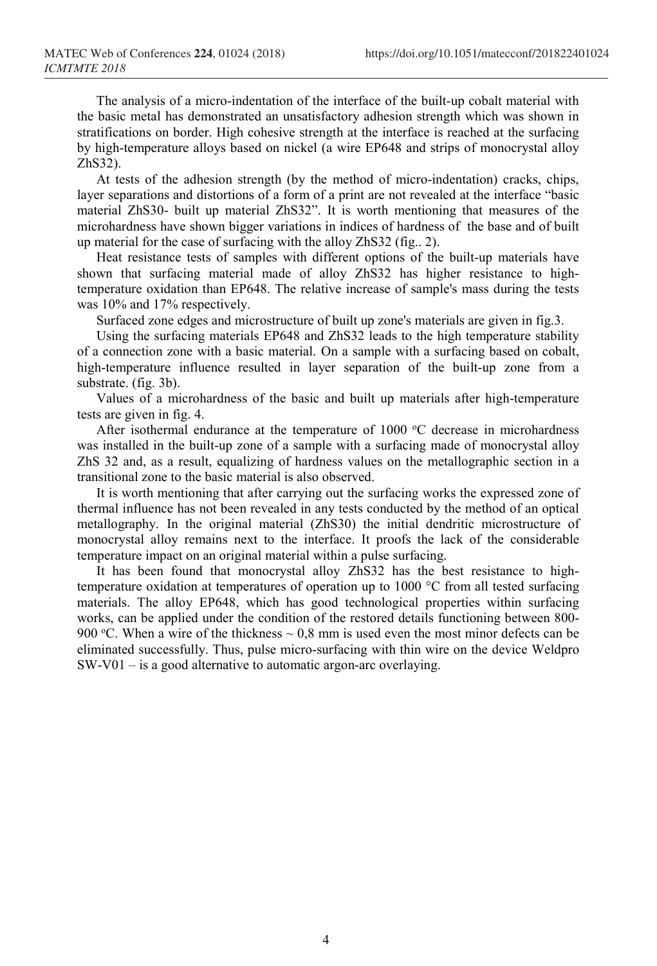The analysis of a micro-indentation of the interface of the built-up cobalt material with the basic metal has demonstrated an unsatisfactory adhesion strength which was shown in stratifications on border. High cohesive strength at the interface is reached at the surfacing by high-temperature alloys based on nickel (a wire EP648 and strips of monocrystal alloy ZhS32).

At tests of the adhesion strength (by the method of micro-indentation) cracks, chips, layer separations and distortions of a form of a print are not revealed at the interface "basic material ZhS30- built up material ZhS32". It is worth mentioning that measures of the microhardness have shown bigger variations in indices of hardness of the base and of built up material for the case of surfacing with the alloy ZhS32 (fig.. 2).

Heat resistance tests of samples with different options of the built-up materials have shown that surfacing material made of alloy ZhS32 has higher resistance to hightemperature oxidation than EP648. The relative increase of sample's mass during the tests was 10% and 17% respectively.

Surfaced zone edges and microstructure of built up zone's materials are given in fig.3.

Using the surfacing materials EP648 and ZhS32 leads to the high temperature stability of a connection zone with a basic material. On a sample with a surfacing based on cobalt, high-temperature influence resulted in layer separation of the built-up zone from a substrate. (fig. 3b).

Values of a microhardness of the basic and built up materials after high-temperature tests are given in fig. 4.

After isothermal endurance at the temperature of  $1000$  °C decrease in microhardness was installed in the built-up zone of a sample with a surfacing made of monocrystal alloy ZhS 32 and, as a result, equalizing of hardness values on the metallographic section in a transitional zone to the basic material is also observed.

It is worth mentioning that after carrying out the surfacing works the expressed zone of thermal influence has not been revealed in any tests conducted by the method of an optical metallography. In the original material (ZhS30) the initial dendritic microstructure of monocrystal alloy remains next to the interface. It proofs the lack of the considerable temperature impact on an original material within a pulse surfacing.

It has been found that monocrystal alloy ZhS32 has the best resistance to hightemperature oxidation at temperatures of operation up to 1000 °C from all tested surfacing materials. The alloy EP648, which has good technological properties within surfacing works, can be applied under the condition of the restored details functioning between 800- 900 °C. When a wire of the thickness  $\sim 0.8$  mm is used even the most minor defects can be eliminated successfully. Thus, pulse micro-surfacing with thin wire on the device Weldpro SW-V01 – is a good alternative to automatic argon-arc overlaying.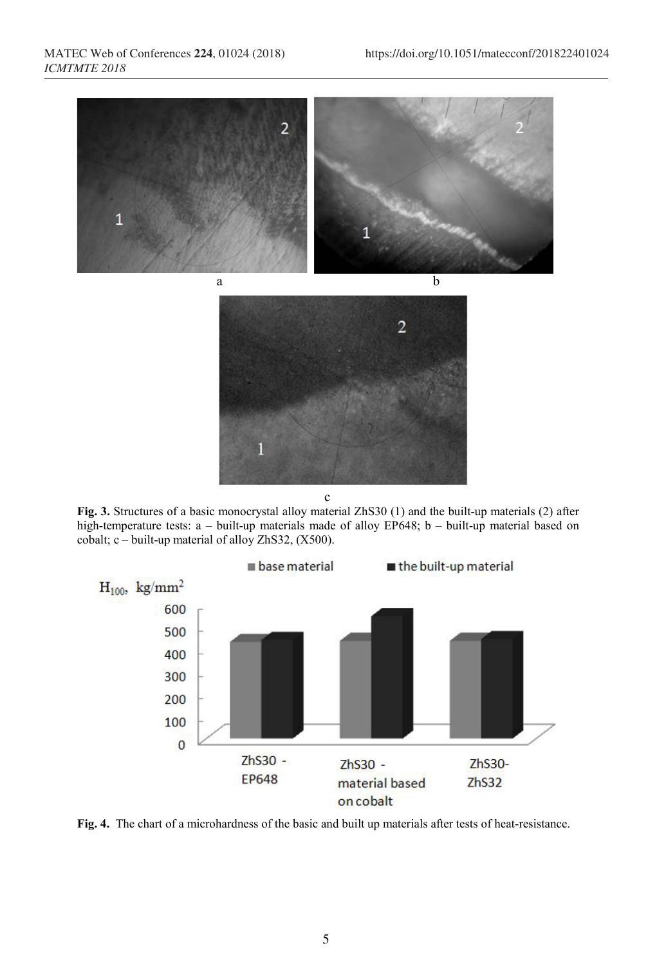

**Fig. 3.** Structures of a basic monocrystal alloy material ZhS30 (1) and the built-up materials (2) after high-temperature tests: a – built-up materials made of alloy EP648; b – built-up material based on cobalt; c – built-up material of alloy ZhS32,  $(X500)$ .



**Fig. 4.** The chart of a microhardness of the basic and built up materials after tests of heat-resistance.